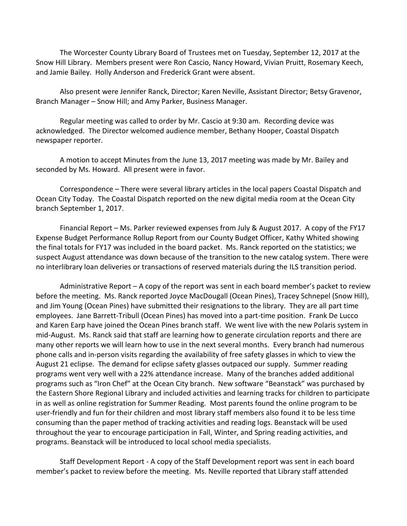The Worcester County Library Board of Trustees met on Tuesday, September 12, 2017 at the Snow Hill Library. Members present were Ron Cascio, Nancy Howard, Vivian Pruitt, Rosemary Keech, and Jamie Bailey. Holly Anderson and Frederick Grant were absent.

Also present were Jennifer Ranck, Director; Karen Neville, Assistant Director; Betsy Gravenor, Branch Manager – Snow Hill; and Amy Parker, Business Manager.

Regular meeting was called to order by Mr. Cascio at 9:30 am. Recording device was acknowledged. The Director welcomed audience member, Bethany Hooper, Coastal Dispatch newspaper reporter.

A motion to accept Minutes from the June 13, 2017 meeting was made by Mr. Bailey and seconded by Ms. Howard. All present were in favor.

Correspondence – There were several library articles in the local papers Coastal Dispatch and Ocean City Today. The Coastal Dispatch reported on the new digital media room at the Ocean City branch September 1, 2017.

Financial Report – Ms. Parker reviewed expenses from July & August 2017. A copy of the FY17 Expense Budget Performance Rollup Report from our County Budget Officer, Kathy Whited showing the final totals for FY17 was included in the board packet. Ms. Ranck reported on the statistics; we suspect August attendance was down because of the transition to the new catalog system. There were no interlibrary loan deliveries or transactions of reserved materials during the ILS transition period.

Administrative Report – A copy of the report was sent in each board member's packet to review before the meeting. Ms. Ranck reported Joyce MacDougall (Ocean Pines), Tracey Schnepel (Snow Hill), and Jim Young (Ocean Pines) have submitted their resignations to the library. They are all part time employees. Jane Barrett-Tribull (Ocean Pines) has moved into a part-time position. Frank De Lucco and Karen Earp have joined the Ocean Pines branch staff. We went live with the new Polaris system in mid-August. Ms. Ranck said that staff are learning how to generate circulation reports and there are many other reports we will learn how to use in the next several months. Every branch had numerous phone calls and in-person visits regarding the availability of free safety glasses in which to view the August 21 eclipse. The demand for eclipse safety glasses outpaced our supply. Summer reading programs went very well with a 22% attendance increase. Many of the branches added additional programs such as "Iron Chef" at the Ocean City branch. New software "Beanstack" was purchased by the Eastern Shore Regional Library and included activities and learning tracks for children to participate in as well as online registration for Summer Reading. Most parents found the online program to be user-friendly and fun for their children and most library staff members also found it to be less time consuming than the paper method of tracking activities and reading logs. Beanstack will be used throughout the year to encourage participation in Fall, Winter, and Spring reading activities, and programs. Beanstack will be introduced to local school media specialists.

Staff Development Report - A copy of the Staff Development report was sent in each board member's packet to review before the meeting. Ms. Neville reported that Library staff attended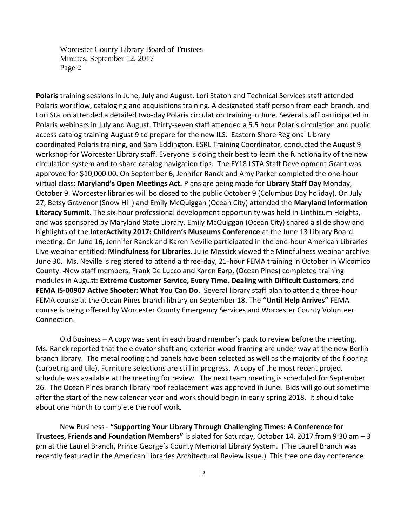Worcester County Library Board of Trustees Minutes, September 12, 2017 Page 2

**Polaris** training sessions in June, July and August. Lori Staton and Technical Services staff attended Polaris workflow, cataloging and acquisitions training. A designated staff person from each branch, and Lori Staton attended a detailed two-day Polaris circulation training in June. Several staff participated in Polaris webinars in July and August. Thirty-seven staff attended a 5.5 hour Polaris circulation and public access catalog training August 9 to prepare for the new ILS. Eastern Shore Regional Library coordinated Polaris training, and Sam Eddington, ESRL Training Coordinator, conducted the August 9 workshop for Worcester Library staff. Everyone is doing their best to learn the functionality of the new circulation system and to share catalog navigation tips. The FY18 LSTA Staff Development Grant was approved for \$10,000.00. On September 6, Jennifer Ranck and Amy Parker completed the one-hour virtual class: **Maryland's Open Meetings Act.** Plans are being made for **Library Staff Day** Monday, October 9. Worcester libraries will be closed to the public October 9 (Columbus Day holiday). On July 27, Betsy Gravenor (Snow Hill) and Emily McQuiggan (Ocean City) attended the **Maryland Information Literacy Summit**. The six-hour professional development opportunity was held in Linthicum Heights, and was sponsored by Maryland State Library. Emily McQuiggan (Ocean City) shared a slide show and highlights of the **InterActivity 2017: Children's Museums Conference** at the June 13 Library Board meeting. On June 16, Jennifer Ranck and Karen Neville participated in the one-hour American Libraries Live webinar entitled: **Mindfulness for Libraries**. Julie Messick viewed the Mindfulness webinar archive June 30. Ms. Neville is registered to attend a three-day, 21-hour FEMA training in October in Wicomico County. New staff members, Frank De Lucco and Karen Earp, (Ocean Pines) completed training modules in August: **Extreme Customer Service, Every Time**, **Dealing with Difficult Customers**, and **FEMA IS-00907 Active Shooter: What You Can Do**. Several library staff plan to attend a three-hour FEMA course at the Ocean Pines branch library on September 18. The **"Until Help Arrives"** FEMA course is being offered by Worcester County Emergency Services and Worcester County Volunteer Connection.

Old Business – A copy was sent in each board member's pack to review before the meeting. Ms. Ranck reported that the elevator shaft and exterior wood framing are under way at the new Berlin branch library. The metal roofing and panels have been selected as well as the majority of the flooring (carpeting and tile). Furniture selections are still in progress. A copy of the most recent project schedule was available at the meeting for review. The next team meeting is scheduled for September 26. The Ocean Pines branch library roof replacement was approved in June. Bids will go out sometime after the start of the new calendar year and work should begin in early spring 2018. It should take about one month to complete the roof work.

New Business - **"Supporting Your Library Through Challenging Times: A Conference for Trustees, Friends and Foundation Members"** is slated for Saturday, October 14, 2017 from 9:30 am – 3 pm at the Laurel Branch, Prince George's County Memorial Library System. (The Laurel Branch was recently featured in the American Libraries Architectural Review issue.) This free one day conference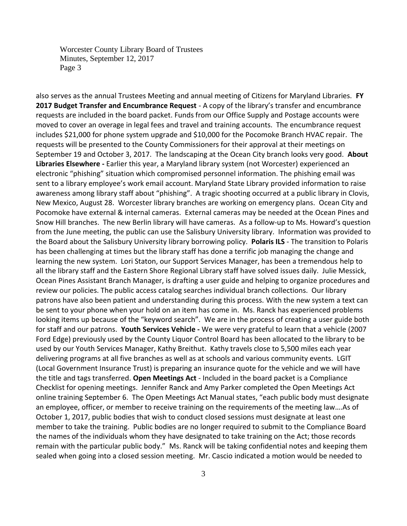Worcester County Library Board of Trustees Minutes, September 12, 2017 Page 3

also serves as the annual Trustees Meeting and annual meeting of Citizens for Maryland Libraries. **FY 2017 Budget Transfer and Encumbrance Request** - A copy of the library's transfer and encumbrance requests are included in the board packet. Funds from our Office Supply and Postage accounts were moved to cover an overage in legal fees and travel and training accounts. The encumbrance request includes \$21,000 for phone system upgrade and \$10,000 for the Pocomoke Branch HVAC repair. The requests will be presented to the County Commissioners for their approval at their meetings on September 19 and October 3, 2017. The landscaping at the Ocean City branch looks very good. **About Libraries Elsewhere -** Earlier this year, a Maryland library system (not Worcester) experienced an electronic "phishing" situation which compromised personnel information. The phishing email was sent to a library employee's work email account. Maryland State Library provided information to raise awareness among library staff about "phishing". A tragic shooting occurred at a public library in Clovis, New Mexico, August 28. Worcester library branches are working on emergency plans. Ocean City and Pocomoke have external & internal cameras. External cameras may be needed at the Ocean Pines and Snow Hill branches. The new Berlin library will have cameras. As a follow-up to Ms. Howard's question from the June meeting, the public can use the Salisbury University library. Information was provided to the Board about the Salisbury University library borrowing policy. **Polaris ILS** - The transition to Polaris has been challenging at times but the library staff has done a terrific job managing the change and learning the new system. Lori Staton, our Support Services Manager, has been a tremendous help to all the library staff and the Eastern Shore Regional Library staff have solved issues daily. Julie Messick, Ocean Pines Assistant Branch Manager, is drafting a user guide and helping to organize procedures and review our policies. The public access catalog searches individual branch collections. Our library patrons have also been patient and understanding during this process. With the new system a text can be sent to your phone when your hold on an item has come in. Ms. Ranck has experienced problems looking items up because of the "keyword search". We are in the process of creating a user guide both for staff and our patrons. **Youth Services Vehicle -** We were very grateful to learn that a vehicle (2007 Ford Edge) previously used by the County Liquor Control Board has been allocated to the library to be used by our Youth Services Manager, Kathy Breithut. Kathy travels close to 5,500 miles each year delivering programs at all five branches as well as at schools and various community events. LGIT (Local Government Insurance Trust) is preparing an insurance quote for the vehicle and we will have the title and tags transferred. **Open Meetings Act** - Included in the board packet is a Compliance Checklist for opening meetings. Jennifer Ranck and Amy Parker completed the Open Meetings Act online training September 6. The Open Meetings Act Manual states, "each public body must designate an employee, officer, or member to receive training on the requirements of the meeting law….As of October 1, 2017, public bodies that wish to conduct closed sessions must designate at least one member to take the training. Public bodies are no longer required to submit to the Compliance Board the names of the individuals whom they have designated to take training on the Act; those records remain with the particular public body." Ms. Ranck will be taking confidential notes and keeping them sealed when going into a closed session meeting. Mr. Cascio indicated a motion would be needed to